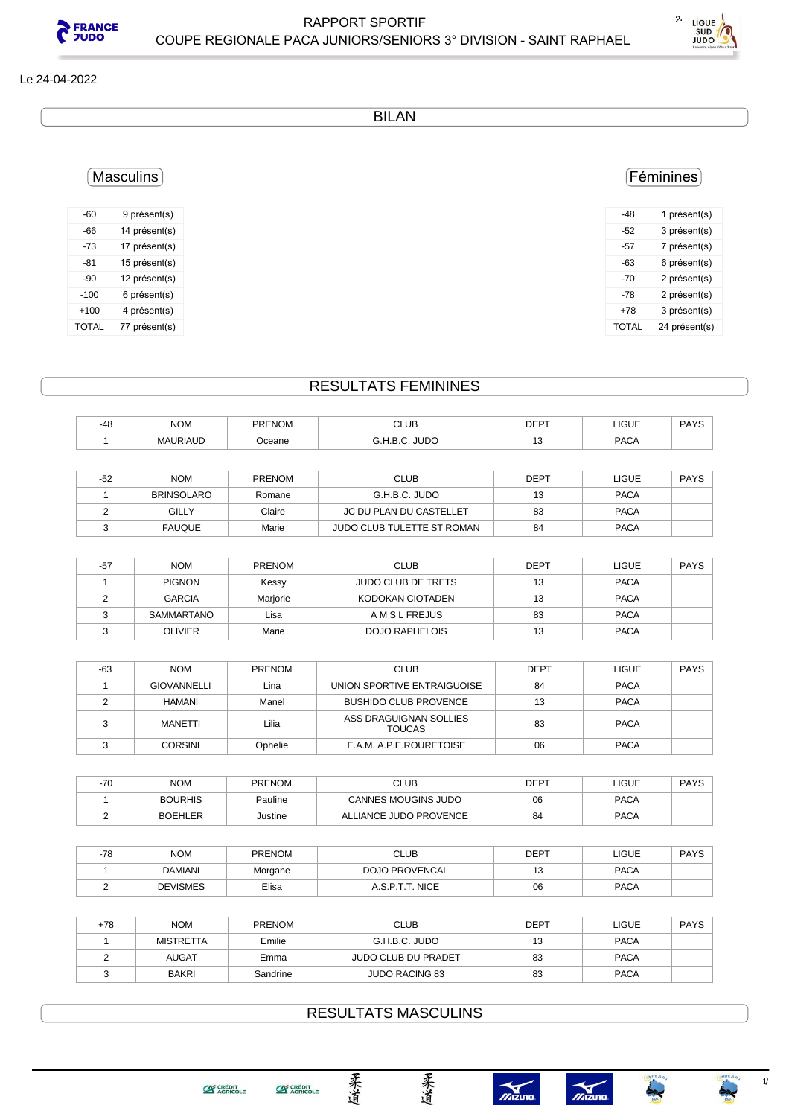



#### Le 24-04-2022

BILAN

### Féminines

| -48          | 1 présent(s)  |
|--------------|---------------|
| -52          | 3 présent(s)  |
| -57          | 7 présent(s)  |
| -63          | 6 présent(s)  |
| -70          | 2 présent(s)  |
| -78          | 2 présent(s)  |
| $+78$        | 3 présent(s)  |
| <b>TOTAL</b> | 24 présent(s) |
|              |               |

## Masculins

| $-60$  | 9 présent(s)  |
|--------|---------------|
| -66    | 14 présent(s) |
| $-73$  | 17 présent(s) |
| -81    | 15 présent(s) |
| $-90$  | 12 présent(s) |
| $-100$ | 6 présent(s)  |
| $+100$ | 4 présent(s)  |
| TOTAL  | 77 présent(s) |

## RESULTATS FEMININES

| $-48$ | <b>NOM</b>           | <b>PRENOM</b> | <b>CLUB</b><br>---- | <b>DEPT</b> | <b>LIGUE</b><br>____ | DAYC<br>'A I C |
|-------|----------------------|---------------|---------------------|-------------|----------------------|----------------|
|       | <b>'RIAUD</b><br>٨MΑ | )ceane        | JUDO                | ◡           | <b>PACA</b>          |                |
|       |                      |               |                     |             |                      |                |

| $-52$ | <b>NOM</b>        | <b>PRENOM</b> | <b>CLUB</b>                | DEPT | LIGUE       | <b>PAYS</b> |
|-------|-------------------|---------------|----------------------------|------|-------------|-------------|
|       | <b>BRINSOLARO</b> | Romane        | G.H.B.C. JUDO              |      | <b>PACA</b> |             |
|       | GILLY             | Claire        | JC DU PLAN DU CASTELLET    | 83   | <b>PACA</b> |             |
|       | <b>FAUQUE</b>     | Marie         | JUDO CLUB TULETTE ST ROMAN | 84   | <b>PACA</b> |             |

| $-57$ | <b>NOM</b>    | <b>PRENOM</b> | <b>CLUB</b>               | <b>DEPT</b> | LIGUE       | <b>PAYS</b> |
|-------|---------------|---------------|---------------------------|-------------|-------------|-------------|
|       | <b>PIGNON</b> | Kessy         | <b>JUDO CLUB DE TRETS</b> | 13          | <b>PACA</b> |             |
|       | <b>GARCIA</b> | Marjorie      | KODOKAN CIOTADEN          | 13          | <b>PACA</b> |             |
|       | SAMMARTANO    | Lisa          | A M S L FREJUS            | 83          | <b>PACA</b> |             |
|       | OLIVIER       | Marie         | <b>DOJO RAPHELOIS</b>     | 13          | <b>PACA</b> |             |

| -63 | <b>NOM</b>         | <b>PRENOM</b> | <b>CLUB</b>                             | <b>DEPT</b> | <b>LIGUE</b> | <b>PAYS</b> |
|-----|--------------------|---------------|-----------------------------------------|-------------|--------------|-------------|
|     | <b>GIOVANNELLI</b> | Lina          | UNION SPORTIVE ENTRAIGUOISE             | 84          | <b>PACA</b>  |             |
|     | HAMANI             | Manel         | <b>BUSHIDO CLUB PROVENCE</b>            | 13          | <b>PACA</b>  |             |
|     | MANETTI            | Lilia         | ASS DRAGUIGNAN SOLLIES<br><b>TOUCAS</b> | 83          | <b>PACA</b>  |             |
|     | <b>CORSINI</b>     | Ophelie       | E.A.M. A.P.E.ROURETOISE                 | 06          | <b>PACA</b>  |             |

| 70<br>$-11$ | <b>NOM</b>     | <b>PRENOM</b> | CLUB                       | DEPT | LIGUE       | <b>PAYS</b> |
|-------------|----------------|---------------|----------------------------|------|-------------|-------------|
|             | <b>BOURHIS</b> | Pauline       | <b>CANNES MOUGINS JUDO</b> | 06   | <b>PACA</b> |             |
|             | <b>BOEHLER</b> | Justine       | ALLIANCE JUDO PROVENCE     | 84   | <b>PACA</b> |             |

| $-78$ | <b>NOM</b>      | <b>PRENOM</b> | <b>CLUB</b>           | <b>DEPT</b> | LIGUE       | <b>PAYS</b> |
|-------|-----------------|---------------|-----------------------|-------------|-------------|-------------|
|       | <b>DAMIANI</b>  | Morgane       | <b>DOJO PROVENCAL</b> | ں ו         | <b>PACA</b> |             |
|       | <b>DEVISMES</b> | Elisa         | T.T. NICE<br>A.S.P    | 06          | <b>PACA</b> |             |

| +78 | <b>NOM</b>       | <b>PRENOM</b> | <b>CLUB</b>                | <b>DEPT</b> | LIGUE       | <b>PAYS</b> |
|-----|------------------|---------------|----------------------------|-------------|-------------|-------------|
|     | <b>MISTRETTA</b> | Emilie        | G.H.B.C. JUDO              | 13          | <b>PACA</b> |             |
|     | <b>AUGAT</b>     | Emma          | <b>JUDO CLUB DU PRADET</b> | 83          | <b>PACA</b> |             |
|     | <b>BAKRI</b>     | Sandrine      | <b>JUDO RACING 83</b>      | 83          | <b>PACA</b> |             |

# RESULTATS MASCULINS

柔道

柔道



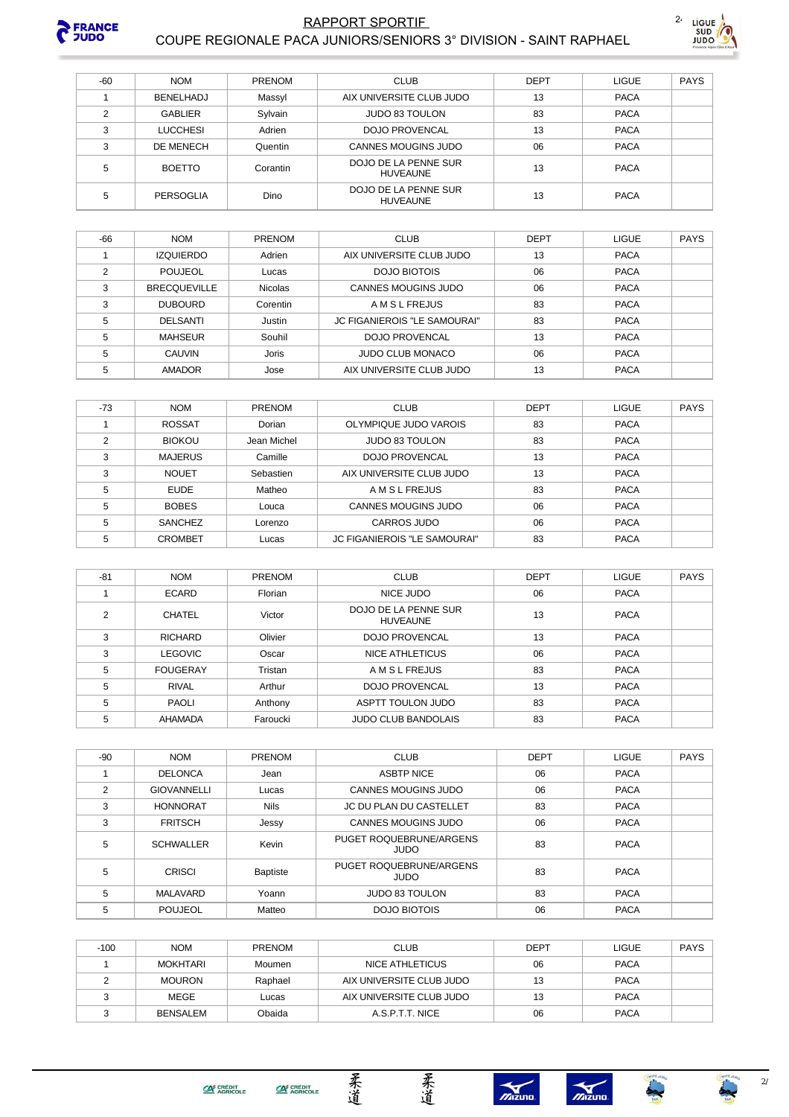

#### **RAPPORT SPORTIF** COUPE REGIONALE PACA JUNIORS/SENIORS 3° DIVISION - SAINT RAPHAEL



| $-60$          | <b>NOM</b>      | <b>PRENOM</b> | <b>CLUB</b>                             | <b>DEPT</b> | <b>LIGUE</b> | PAYS |
|----------------|-----------------|---------------|-----------------------------------------|-------------|--------------|------|
|                | BENELHADJ       | Massyl        | AIX UNIVERSITE CLUB JUDO                | 13          | <b>PACA</b>  |      |
| $\mathfrak{p}$ | <b>GABLIER</b>  | Sylvain       | <b>JUDO 83 TOULON</b>                   | 83          | <b>PACA</b>  |      |
| 3              | <b>LUCCHESI</b> | Adrien        | <b>DOJO PROVENCAL</b>                   | 13          | <b>PACA</b>  |      |
| 3              | DE MENECH       | Quentin       | <b>CANNES MOUGINS JUDO</b>              | 06          | <b>PACA</b>  |      |
| 5              | <b>BOETTO</b>   | Corantin      | DOJO DE LA PENNE SUR<br><b>HUVEAUNE</b> | 13          | <b>PACA</b>  |      |
| 5              | PERSOGLIA       | Dino          | DOJO DE LA PENNE SUR<br><b>HUVEAUNE</b> | 13          | <b>PACA</b>  |      |

| -66 | <b>NOM</b>          | <b>PRENOM</b>  | <b>CLUB</b>                         | DEPT | <b>LIGUE</b> | <b>PAYS</b> |
|-----|---------------------|----------------|-------------------------------------|------|--------------|-------------|
|     | <b>IZQUIERDO</b>    | Adrien         | AIX UNIVERSITE CLUB JUDO            | 13   | <b>PACA</b>  |             |
| っ   | <b>POUJEOL</b>      | Lucas          | DOJO BIOTOIS                        | 06   | <b>PACA</b>  |             |
| 3   | <b>BRECQUEVILLE</b> | <b>Nicolas</b> | <b>CANNES MOUGINS JUDO</b>          | 06   | <b>PACA</b>  |             |
| 3   | <b>DUBOURD</b>      | Corentin       | A M S L FREJUS                      | 83   | <b>PACA</b>  |             |
| 5   | <b>DELSANTI</b>     | Justin         | <b>JC FIGANIEROIS "LE SAMOURAI"</b> | 83   | <b>PACA</b>  |             |
| 5   | <b>MAHSEUR</b>      | Souhil         | <b>DOJO PROVENCAL</b>               | 13   | <b>PACA</b>  |             |
| 5   | <b>CAUVIN</b>       | <b>Joris</b>   | <b>JUDO CLUB MONACO</b>             | 06   | <b>PACA</b>  |             |
| 5   | <b>AMADOR</b>       | Jose           | AIX UNIVERSITE CLUB JUDO            | 13   | <b>PACA</b>  |             |

| $-73$ | <b>NOM</b>     | <b>PRENOM</b> | <b>CLUB</b>                         | <b>DEPT</b> | <b>LIGUE</b> | <b>PAYS</b> |
|-------|----------------|---------------|-------------------------------------|-------------|--------------|-------------|
|       | <b>ROSSAT</b>  | Dorian        | OLYMPIQUE JUDO VAROIS               | 83          | <b>PACA</b>  |             |
| ◠     | <b>BIOKOU</b>  | Jean Michel   | <b>JUDO 83 TOULON</b>               | 83          | <b>PACA</b>  |             |
| 3     | <b>MAJERUS</b> | Camille       | <b>DOJO PROVENCAL</b>               | 13          | <b>PACA</b>  |             |
| 3     | <b>NOUET</b>   | Sebastien     | AIX UNIVERSITE CLUB JUDO            | 13          | <b>PACA</b>  |             |
| 5     | EUDE           | Matheo        | <b>AMSLFREJUS</b>                   | 83          | <b>PACA</b>  |             |
| 5     | <b>BOBES</b>   | Louca         | CANNES MOUGINS JUDO                 | 06          | <b>PACA</b>  |             |
| 5     | <b>SANCHEZ</b> | Lorenzo       | CARROS JUDO                         | 06          | <b>PACA</b>  |             |
| 5     | <b>CROMBET</b> | Lucas         | <b>JC FIGANIEROIS "LE SAMOURAI"</b> | 83          | <b>PACA</b>  |             |

| $-81$ | <b>NOM</b>      | PRENOM   | <b>CLUB</b>                             | <b>DEPT</b> | <b>LIGUE</b> | <b>PAYS</b> |
|-------|-----------------|----------|-----------------------------------------|-------------|--------------|-------------|
|       | <b>ECARD</b>    | Florian  | NICE JUDO                               | 06          | <b>PACA</b>  |             |
| 2     | <b>CHATEL</b>   | Victor   | DOJO DE LA PENNE SUR<br><b>HUVEAUNE</b> | 13          | <b>PACA</b>  |             |
| 3     | <b>RICHARD</b>  | Olivier  | <b>DOJO PROVENCAL</b>                   | 13          | <b>PACA</b>  |             |
| 3     | <b>LEGOVIC</b>  | Oscar    | <b>NICE ATHLETICUS</b>                  | 06          | <b>PACA</b>  |             |
| 5     | <b>FOUGERAY</b> | Tristan  | A M S L FREJUS                          | 83          | <b>PACA</b>  |             |
| 5     | <b>RIVAL</b>    | Arthur   | <b>DOJO PROVENCAL</b>                   | 13          | <b>PACA</b>  |             |
| 5     | PAOLI           | Anthony  | ASPTT TOULON JUDO                       | 83          | <b>PACA</b>  |             |
| 5     | AHAMADA         | Faroucki | <b>JUDO CLUB BANDOLAIS</b>              | 83          | <b>PACA</b>  |             |

| -90           | <b>NOM</b>         | <b>PRENOM</b> | <b>CLUB</b>                            | <b>DEPT</b> | <b>LIGUE</b> | <b>PAYS</b> |
|---------------|--------------------|---------------|----------------------------------------|-------------|--------------|-------------|
|               | <b>DELONCA</b>     | Jean          | <b>ASBTP NICE</b>                      | 06          | <b>PACA</b>  |             |
| $\mathcal{P}$ | <b>GIOVANNELLI</b> | Lucas         | CANNES MOUGINS JUDO                    | 06          | <b>PACA</b>  |             |
| 3             | <b>HONNORAT</b>    | <b>Nils</b>   | JC DU PLAN DU CASTELLET                | 83          | <b>PACA</b>  |             |
| 3             | <b>FRITSCH</b>     | Jessy         | CANNES MOUGINS JUDO                    | 06          | <b>PACA</b>  |             |
| 5             | <b>SCHWALLER</b>   | Kevin         | PUGET ROQUEBRUNE/ARGENS<br><b>OQUL</b> | 83          | <b>PACA</b>  |             |
| 5             | <b>CRISCI</b>      | Baptiste      | PUGET ROQUEBRUNE/ARGENS<br><b>OQUL</b> | 83          | <b>PACA</b>  |             |
| 5             | MALAVARD           | Yoann         | <b>JUDO 83 TOULON</b>                  | 83          | <b>PACA</b>  |             |
| 5             | POUJEOL            | Matteo        | DOJO BIOTOIS                           | 06          | <b>PACA</b>  |             |

| $-100$ | <b>NOM</b>    | <b>PRENOM</b> | <b>CLUB</b>              | <b>DEPT</b> | <b>LIGUE</b> | <b>PAYS</b> |
|--------|---------------|---------------|--------------------------|-------------|--------------|-------------|
|        | MOKHTARI      | Moumen        | NICE ATHLETICUS          | 06          | <b>PACA</b>  |             |
|        | <b>MOURON</b> | Raphael       | AIX UNIVERSITE CLUB JUDO | 12          | <b>PACA</b>  |             |
| っ      | MEGE          | Lucas         | AIX UNIVERSITE CLUB JUDO | 13          | <b>PACA</b>  |             |
|        | BENSALEM      | Obaida        | A.S.P.T.T. NICE          | 06          | <b>PACA</b>  |             |
|        |               |               |                          |             |              |             |

柔道

柔道